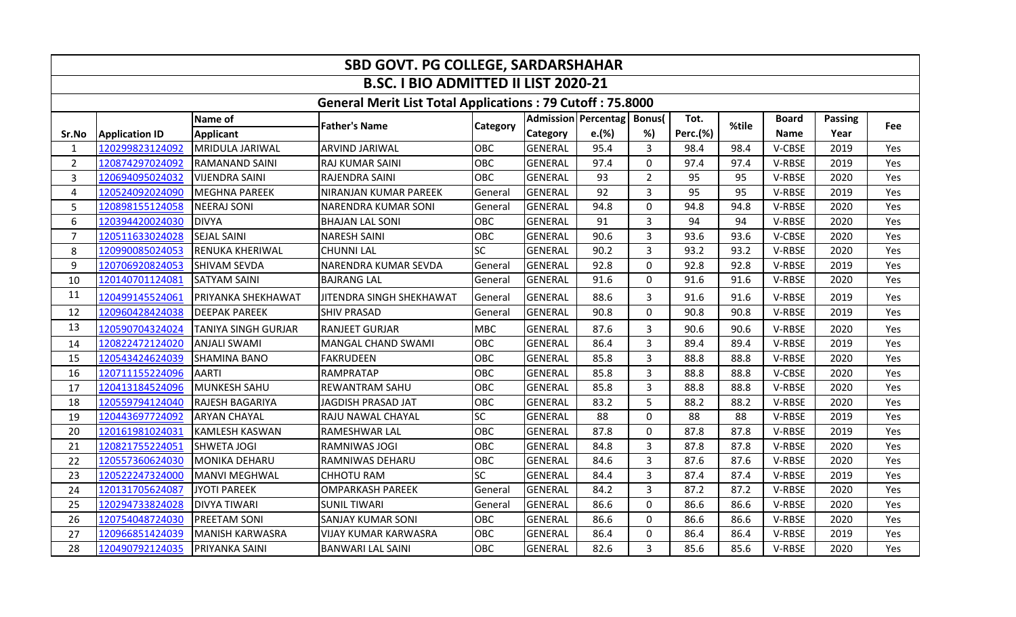| SBD GOVT. PG COLLEGE, SARDARSHAHAR |                       |                            |                                                                  |                 |                 |                            |                |          |       |              |                |     |  |
|------------------------------------|-----------------------|----------------------------|------------------------------------------------------------------|-----------------|-----------------|----------------------------|----------------|----------|-------|--------------|----------------|-----|--|
|                                    |                       |                            | <b>B.SC. I BIO ADMITTED II LIST 2020-21</b>                      |                 |                 |                            |                |          |       |              |                |     |  |
|                                    |                       |                            | <b>General Merit List Total Applications: 79 Cutoff: 75.8000</b> |                 |                 |                            |                |          |       |              |                |     |  |
|                                    |                       | Name of                    |                                                                  |                 |                 | <b>Admission Percentag</b> | <b>Bonus</b>   | Tot.     | %tile | <b>Board</b> | <b>Passing</b> |     |  |
| Sr.No                              | <b>Application ID</b> | <b>Applicant</b>           | <b>Father's Name</b>                                             | <b>Category</b> | <b>Category</b> | e.(%)                      | %)             | Perc.(%) |       | <b>Name</b>  | Year           | Fee |  |
| $\mathbf{1}$                       | 120299823124092       | MRIDULA JARIWAL            | <b>ARVIND JARIWAL</b>                                            | <b>OBC</b>      | <b>GENERAL</b>  | 95.4                       | $\overline{3}$ | 98.4     | 98.4  | V-CBSE       | 2019           | Yes |  |
| $\overline{2}$                     | 120874297024092       | <b>RAMANAND SAINI</b>      | RAJ KUMAR SAINI                                                  | <b>OBC</b>      | <b>GENERAL</b>  | 97.4                       | $\mathbf 0$    | 97.4     | 97.4  | V-RBSE       | 2019           | Yes |  |
| 3                                  | 120694095024032       | <b>VIJENDRA SAINI</b>      | RAJENDRA SAINI                                                   | OBC             | <b>GENERAL</b>  | 93                         | $\overline{2}$ | 95       | 95    | V-RBSE       | 2020           | Yes |  |
| 4                                  | 120524092024090       | <b>MEGHNA PAREEK</b>       | NIRANJAN KUMAR PAREEK                                            | General         | <b>GENERAL</b>  | 92                         | 3              | 95       | 95    | V-RBSE       | 2019           | Yes |  |
| 5                                  | 120898155124058       | <b>NEERAJ SONI</b>         | NARENDRA KUMAR SONI                                              | General         | <b>GENERAL</b>  | 94.8                       | $\mathbf 0$    | 94.8     | 94.8  | V-RBSE       | 2020           | Yes |  |
| 6                                  | 120394420024030       | <b>DIVYA</b>               | <b>BHAJAN LAL SONI</b>                                           | OBC             | <b>GENERAL</b>  | 91                         | $\overline{3}$ | 94       | 94    | V-RBSE       | 2020           | Yes |  |
| $\overline{7}$                     | 120511633024028       | <b>SEJAL SAINI</b>         | <b>NARESH SAINI</b>                                              | OBC             | <b>GENERAL</b>  | 90.6                       | 3              | 93.6     | 93.6  | V-CBSE       | 2020           | Yes |  |
| 8                                  | 120990085024053       | <b>RENUKA KHERIWAL</b>     | CHUNNI LAL                                                       | <b>SC</b>       | <b>GENERAL</b>  | 90.2                       | $\overline{3}$ | 93.2     | 93.2  | V-RBSE       | 2020           | Yes |  |
| 9                                  | 120706920824053       | <b>SHIVAM SEVDA</b>        | NARENDRA KUMAR SEVDA                                             | General         | <b>GENERAL</b>  | 92.8                       | $\Omega$       | 92.8     | 92.8  | V-RBSE       | 2019           | Yes |  |
| 10                                 | 120140701124081       | <b>SATYAM SAINI</b>        | <b>BAJRANG LAL</b>                                               | General         | <b>GENERAL</b>  | 91.6                       | $\mathbf 0$    | 91.6     | 91.6  | V-RBSE       | 2020           | Yes |  |
| 11                                 | 120499145524061       | PRIYANKA SHEKHAWAT         | JITENDRA SINGH SHEKHAWAT                                         | General         | <b>GENERAL</b>  | 88.6                       | 3              | 91.6     | 91.6  | V-RBSE       | 2019           | Yes |  |
| 12                                 | 120960428424038       | <b>DEEPAK PAREEK</b>       | <b>SHIV PRASAD</b>                                               | General         | <b>GENERAL</b>  | 90.8                       | $\mathbf 0$    | 90.8     | 90.8  | V-RBSE       | 2019           | Yes |  |
| 13                                 | 120590704324024       | <b>TANIYA SINGH GURJAR</b> | <b>RANJEET GURJAR</b>                                            | <b>MBC</b>      | <b>GENERAL</b>  | 87.6                       | 3              | 90.6     | 90.6  | V-RBSE       | 2020           | Yes |  |
| 14                                 | 120822472124020       | <b>ANJALI SWAMI</b>        | MANGAL CHAND SWAMI                                               | OBC             | <b>GENERAL</b>  | 86.4                       | 3              | 89.4     | 89.4  | V-RBSE       | 2019           | Yes |  |
| 15                                 | 120543424624039       | <b>SHAMINA BANO</b>        | <b>FAKRUDEEN</b>                                                 | OBC             | <b>GENERAL</b>  | 85.8                       | $\overline{3}$ | 88.8     | 88.8  | V-RBSE       | 2020           | Yes |  |
| 16                                 | 120711155224096       | <b>AARTI</b>               | RAMPRATAP                                                        | OBC             | <b>GENERAL</b>  | 85.8                       | $\overline{3}$ | 88.8     | 88.8  | V-CBSE       | 2020           | Yes |  |
| 17                                 | 120413184524096       | <b>MUNKESH SAHU</b>        | <b>REWANTRAM SAHU</b>                                            | OBC             | <b>GENERAL</b>  | 85.8                       | 3              | 88.8     | 88.8  | V-RBSE       | 2020           | Yes |  |
| 18                                 | 120559794124040       | RAJESH BAGARIYA            | <b>JAGDISH PRASAD JAT</b>                                        | OBC             | <b>GENERAL</b>  | 83.2                       | 5              | 88.2     | 88.2  | V-RBSE       | 2020           | Yes |  |
| 19                                 | 120443697724092       | <b>ARYAN CHAYAL</b>        | RAJU NAWAL CHAYAL                                                | <b>SC</b>       | <b>GENERAL</b>  | 88                         | $\mathbf 0$    | 88       | 88    | V-RBSE       | 2019           | Yes |  |
| 20                                 | 120161981024031       | <b>KAMLESH KASWAN</b>      | RAMESHWAR LAL                                                    | OBC             | <b>GENERAL</b>  | 87.8                       | $\mathbf 0$    | 87.8     | 87.8  | V-RBSE       | 2019           | Yes |  |
| 21                                 | 120821755224051       | <b>SHWETA JOGI</b>         | RAMNIWAS JOGI                                                    | <b>OBC</b>      | <b>GENERAL</b>  | 84.8                       | $\overline{3}$ | 87.8     | 87.8  | V-RBSE       | 2020           | Yes |  |
| 22                                 | 120557360624030       | <b>MONIKA DEHARU</b>       | RAMNIWAS DEHARU                                                  | OBC             | <b>GENERAL</b>  | 84.6                       | 3              | 87.6     | 87.6  | V-RBSE       | 2020           | Yes |  |
| 23                                 | 120522247324000       | <b>MANVI MEGHWAL</b>       | <b>CHHOTU RAM</b>                                                | <b>SC</b>       | <b>GENERAL</b>  | 84.4                       | 3              | 87.4     | 87.4  | V-RBSE       | 2019           | Yes |  |
| 24                                 | 120131705624087       | <b>JYOTI PAREEK</b>        | <b>OMPARKASH PAREEK</b>                                          | General         | <b>GENERAL</b>  | 84.2                       | 3              | 87.2     | 87.2  | V-RBSE       | 2020           | Yes |  |
| 25                                 | 120294733824028       | <b>DIVYA TIWARI</b>        | <b>SUNIL TIWARI</b>                                              | General         | <b>GENERAL</b>  | 86.6                       | $\mathbf 0$    | 86.6     | 86.6  | V-RBSE       | 2020           | Yes |  |
| 26                                 | 120754048724030       | <b>PREETAM SONI</b>        | <b>SANJAY KUMAR SONI</b>                                         | OBC             | <b>GENERAL</b>  | 86.6                       | $\mathbf 0$    | 86.6     | 86.6  | V-RBSE       | 2020           | Yes |  |
| 27                                 | 120966851424039       | <b>MANISH KARWASRA</b>     | VIJAY KUMAR KARWASRA                                             | OBC             | <b>GENERAL</b>  | 86.4                       | $\mathbf 0$    | 86.4     | 86.4  | V-RBSE       | 2019           | Yes |  |
| 28                                 | 120490792124035       | PRIYANKA SAINI             | <b>BANWARI LAL SAINI</b>                                         | OBC             | <b>GENERAL</b>  | 82.6                       | 3              | 85.6     | 85.6  | V-RBSE       | 2020           | Yes |  |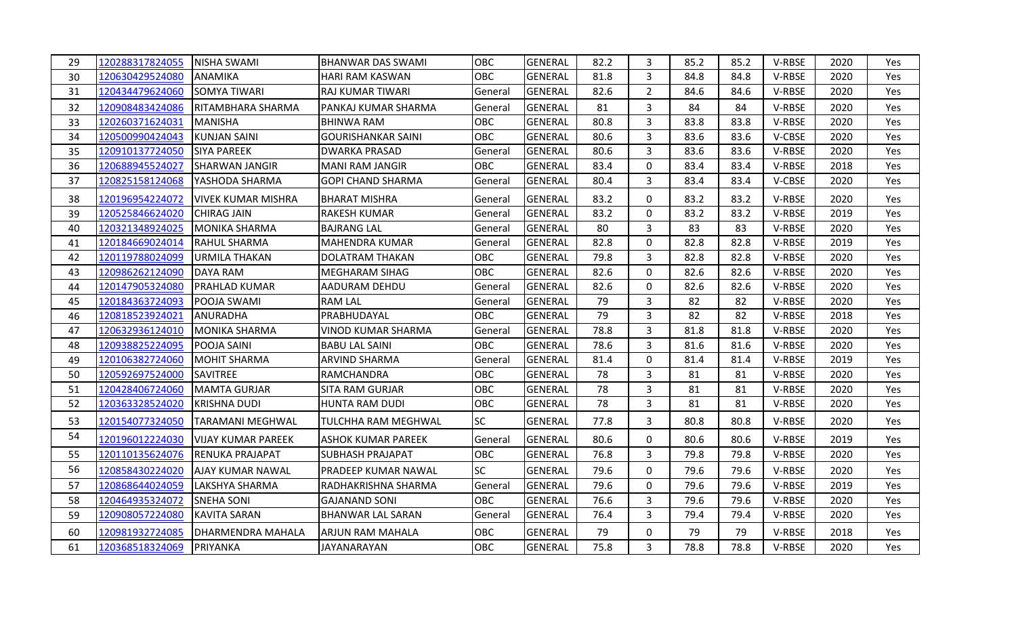| 29 | 120288317824055 | <b>NISHA SWAMI</b>        | BHANWAR DAS SWAMI         | <b>OBC</b> | <b>GENERAL</b> | 82.2 | 3              | 85.2 | 85.2 | V-RBSE | 2020 | Yes        |
|----|-----------------|---------------------------|---------------------------|------------|----------------|------|----------------|------|------|--------|------|------------|
| 30 | 120630429524080 | <b>ANAMIKA</b>            | <b>HARI RAM KASWAN</b>    | <b>OBC</b> | <b>GENERAL</b> | 81.8 | 3              | 84.8 | 84.8 | V-RBSE | 2020 | Yes        |
| 31 | 120434479624060 | <b>SOMYA TIWARI</b>       | <b>RAJ KUMAR TIWARI</b>   | General    | <b>GENERAL</b> | 82.6 | $\overline{2}$ | 84.6 | 84.6 | V-RBSE | 2020 | Yes        |
| 32 | 120908483424086 | RITAMBHARA SHARMA         | PANKAJ KUMAR SHARMA       | General    | <b>GENERAL</b> | 81   | 3              | 84   | 84   | V-RBSE | 2020 | Yes        |
| 33 | 120260371624031 | IMANISHA                  | <b>BHINWA RAM</b>         | <b>OBC</b> | <b>GENERAL</b> | 80.8 | $\overline{3}$ | 83.8 | 83.8 | V-RBSE | 2020 | <b>Yes</b> |
| 34 | 120500990424043 | <b>KUNJAN SAINI</b>       | <b>GOURISHANKAR SAINI</b> | <b>OBC</b> | <b>GENERAL</b> | 80.6 | 3              | 83.6 | 83.6 | V-CBSE | 2020 | Yes        |
| 35 | 120910137724050 | <b>SIYA PAREEK</b>        | <b>DWARKA PRASAD</b>      | General    | <b>GENERAL</b> | 80.6 | 3              | 83.6 | 83.6 | V-RBSE | 2020 | Yes        |
| 36 | 120688945524027 | <b>SHARWAN JANGIR</b>     | MANI RAM JANGIR           | <b>OBC</b> | <b>GENERAL</b> | 83.4 | $\mathbf 0$    | 83.4 | 83.4 | V-RBSE | 2018 | Yes        |
| 37 | 120825158124068 | YASHODA SHARMA            | <b>GOPI CHAND SHARMA</b>  | General    | <b>GENERAL</b> | 80.4 | 3              | 83.4 | 83.4 | V-CBSE | 2020 | Yes        |
| 38 | 120196954224072 | <b>VIVEK KUMAR MISHRA</b> | <b>BHARAT MISHRA</b>      | General    | <b>GENERAL</b> | 83.2 | 0              | 83.2 | 83.2 | V-RBSE | 2020 | Yes        |
| 39 | 120525846624020 | <b>CHIRAG JAIN</b>        | <b>RAKESH KUMAR</b>       | General    | <b>GENERAL</b> | 83.2 | 0              | 83.2 | 83.2 | V-RBSE | 2019 | Yes        |
| 40 | 120321348924025 | <b>MONIKA SHARMA</b>      | <b>BAJRANG LAL</b>        | General    | <b>GENERAL</b> | 80   | 3              | 83   | 83   | V-RBSE | 2020 | Yes        |
| 41 | 120184669024014 | <b>RAHUL SHARMA</b>       | MAHENDRA KUMAR            | General    | <b>GENERAL</b> | 82.8 | $\mathbf 0$    | 82.8 | 82.8 | V-RBSE | 2019 | <b>Yes</b> |
| 42 | 120119788024099 | <b>URMILA THAKAN</b>      | <b>DOLATRAM THAKAN</b>    | <b>OBC</b> | <b>GENERAL</b> | 79.8 | 3              | 82.8 | 82.8 | V-RBSE | 2020 | Yes        |
| 43 | 120986262124090 | <b>DAYA RAM</b>           | <b>MEGHARAM SIHAG</b>     | OBC        | <b>GENERAL</b> | 82.6 | 0              | 82.6 | 82.6 | V-RBSE | 2020 | Yes        |
| 44 | 120147905324080 | <b>PRAHLAD KUMAR</b>      | AADURAM DEHDU             | General    | GENERAL        | 82.6 | $\mathbf 0$    | 82.6 | 82.6 | V-RBSE | 2020 | <b>Yes</b> |
| 45 | 120184363724093 | <b>POOJA SWAMI</b>        | <b>RAM LAL</b>            | General    | <b>GENERAL</b> | 79   | 3              | 82   | 82   | V-RBSE | 2020 | Yes        |
| 46 | 120818523924021 | ANURADHA                  | PRABHUDAYAL               | <b>OBC</b> | <b>GENERAL</b> | 79   | 3              | 82   | 82   | V-RBSE | 2018 | Yes        |
| 47 | 120632936124010 | <b>MONIKA SHARMA</b>      | <b>VINOD KUMAR SHARMA</b> | General    | <b>GENERAL</b> | 78.8 | 3              | 81.8 | 81.8 | V-RBSE | 2020 | Yes        |
| 48 | 120938825224095 | POOJA SAINI               | <b>BABU LAL SAINI</b>     | <b>OBC</b> | <b>GENERAL</b> | 78.6 | 3              | 81.6 | 81.6 | V-RBSE | 2020 | Yes        |
| 49 | 120106382724060 | <b>MOHIT SHARMA</b>       | <b>ARVIND SHARMA</b>      | General    | <b>GENERAL</b> | 81.4 | 0              | 81.4 | 81.4 | V-RBSE | 2019 | Yes        |
| 50 | 120592697524000 | <b>SAVITREE</b>           | <b>RAMCHANDRA</b>         | <b>OBC</b> | <b>GENERAL</b> | 78   | 3              | 81   | 81   | V-RBSE | 2020 | Yes        |
| 51 | 120428406724060 | <b>MAMTA GURJAR</b>       | <b>SITA RAM GURJAR</b>    | <b>OBC</b> | <b>GENERAL</b> | 78   | $\overline{3}$ | 81   | 81   | V-RBSE | 2020 | Yes        |
| 52 | 120363328524020 | <b>KRISHNA DUDI</b>       | HUNTA RAM DUDI            | OBC        | <b>GENERAL</b> | 78   | 3              | 81   | 81   | V-RBSE | 2020 | Yes        |
| 53 | 120154077324050 | TARAMANI MEGHWAL          | TULCHHA RAM MEGHWAL       | <b>SC</b>  | <b>GENERAL</b> | 77.8 | 3              | 80.8 | 80.8 | V-RBSE | 2020 | Yes        |
| 54 | 120196012224030 | <b>VIJAY KUMAR PAREEK</b> | <b>ASHOK KUMAR PAREEK</b> | General    | <b>GENERAL</b> | 80.6 | 0              | 80.6 | 80.6 | V-RBSE | 2019 | Yes        |
| 55 | 120110135624076 | <b>RENUKA PRAJAPAT</b>    | <b>SUBHASH PRAJAPAT</b>   | <b>OBC</b> | <b>GENERAL</b> | 76.8 | 3              | 79.8 | 79.8 | V-RBSE | 2020 | Yes        |
| 56 | 120858430224020 | AJAY KUMAR NAWAL          | PRADEEP KUMAR NAWAL       | <b>SC</b>  | <b>GENERAL</b> | 79.6 | 0              | 79.6 | 79.6 | V-RBSE | 2020 | Yes        |
| 57 | 120868644024059 | LAKSHYA SHARMA            | RADHAKRISHNA SHARMA       | General    | <b>GENERAL</b> | 79.6 | 0              | 79.6 | 79.6 | V-RBSE | 2019 | Yes        |
| 58 | 120464935324072 | <b>SNEHA SONI</b>         | <b>GAJANAND SONI</b>      | <b>OBC</b> | <b>GENERAL</b> | 76.6 | 3              | 79.6 | 79.6 | V-RBSE | 2020 | Yes        |
| 59 | 120908057224080 | <b>KAVITA SARAN</b>       | <b>BHANWAR LAL SARAN</b>  | General    | <b>GENERAL</b> | 76.4 | 3              | 79.4 | 79.4 | V-RBSE | 2020 | Yes        |
| 60 | 120981932724085 | <b>DHARMENDRA MAHALA</b>  | ARJUN RAM MAHALA          | <b>OBC</b> | <b>GENERAL</b> | 79   | 0              | 79   | 79   | V-RBSE | 2018 | Yes        |
| 61 | 120368518324069 | PRIYANKA                  | <b>JAYANARAYAN</b>        | <b>OBC</b> | <b>GENERAL</b> | 75.8 | $\overline{3}$ | 78.8 | 78.8 | V-RBSE | 2020 | Yes        |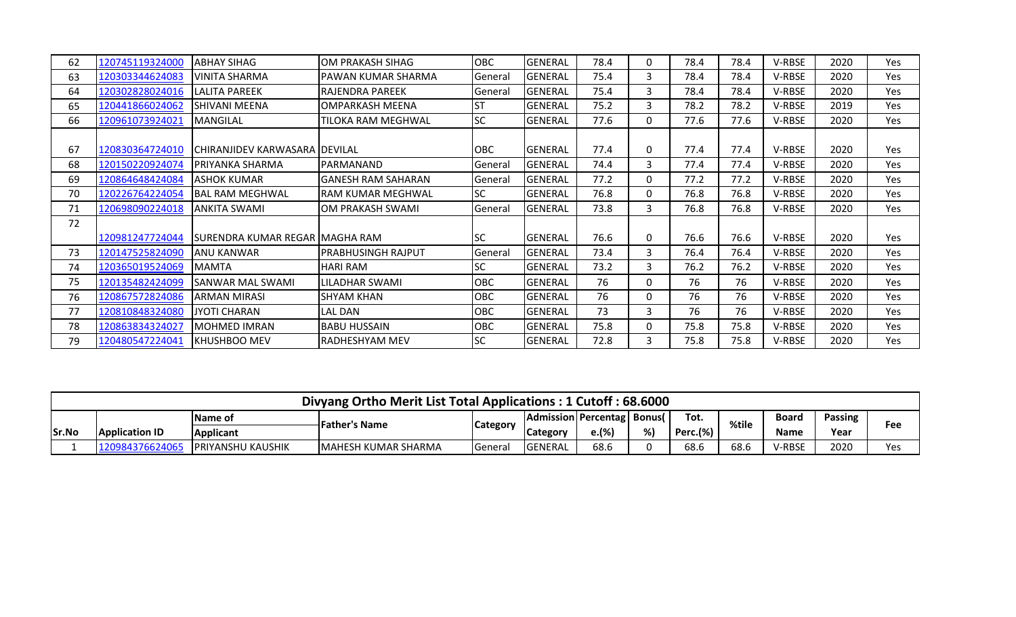| 62 | 120745119324000 | <b>ABHAY SIHAG</b>               | OM PRAKASH SIHAG          | <b>OBC</b> | GENERAL        | 78.4 | 0        | 78.4 | 78.4 | V-RBSE        | 2020 | Yes        |
|----|-----------------|----------------------------------|---------------------------|------------|----------------|------|----------|------|------|---------------|------|------------|
| 63 | 120303344624083 | VINITA SHARMA                    | PAWAN KUMAR SHARMA        | General    | <b>GENERAL</b> | 75.4 | 3        | 78.4 | 78.4 | V-RBSE        | 2020 | Yes        |
| 64 | 120302828024016 | <b>LALITA PAREEK</b>             | IRAJENDRA PAREEK          | General    | <b>GENERAL</b> | 75.4 | 3        | 78.4 | 78.4 | V-RBSE        | 2020 | Yes        |
| 65 | 120441866024062 | SHIVANI MEENA                    | OMPARKASH MEENA           | ST         | <b>GENERAL</b> | 75.2 | 3        | 78.2 | 78.2 | V-RBSE        | 2019 | Yes        |
| 66 | 120961073924021 | <b>MANGILAL</b>                  | TILOKA RAM MEGHWAL        | <b>SC</b>  | <b>GENERAL</b> | 77.6 | 0        | 77.6 | 77.6 | V-RBSE        | 2020 | <b>Yes</b> |
|    |                 |                                  |                           |            |                |      |          |      |      |               |      |            |
| 67 | 120830364724010 | ICHIRANJIDEV KARWASARA IDEVILAL  |                           | <b>OBC</b> | <b>GENERAL</b> | 77.4 | $\Omega$ | 77.4 | 77.4 | V-RBSE        | 2020 | Yes        |
| 68 | 120150220924074 | PRIYANKA SHARMA                  | PARMANAND                 | General    | GENERAL        | 74.4 | 3        | 77.4 | 77.4 | V-RBSE        | 2020 | <b>Yes</b> |
| 69 | 120864648424084 | <b>ASHOK KUMAR</b>               | <b>GANESH RAM SAHARAN</b> | General    | GENERAL        | 77.2 | $\Omega$ | 77.2 | 77.2 | V-RBSE        | 2020 | Yes        |
| 70 | 120226764224054 | BAL RAM MEGHWAL                  | <b>RAM KUMAR MEGHWAL</b>  | <b>SC</b>  | <b>GENERAL</b> | 76.8 | 0        | 76.8 | 76.8 | V-RBSE        | 2020 | <b>Yes</b> |
| 71 | 120698090224018 | <b>ANKITA SWAMI</b>              | OM PRAKASH SWAMI          | General    | <b>GENERAL</b> | 73.8 | 3        | 76.8 | 76.8 | V-RBSE        | 2020 | Yes        |
| 72 |                 |                                  |                           |            |                |      |          |      |      |               |      |            |
|    | 120981247724044 | SURENDRA KUMAR REGAR   MAGHA RAM |                           | <b>SC</b>  | <b>GENERAL</b> | 76.6 | 0        | 76.6 | 76.6 | V-RBSE        | 2020 | Yes        |
| 73 | 120147525824090 | ANU KANWAR                       | <b>PRABHUSINGH RAJPUT</b> | General    | <b>GENERAL</b> | 73.4 | 3        | 76.4 | 76.4 | V-RBSE        | 2020 | Yes.       |
| 74 | 120365019524069 | <b>MAMTA</b>                     | <b>HARI RAM</b>           | SC         | <b>GENERAL</b> | 73.2 | 3        | 76.2 | 76.2 | V-RBSE        | 2020 | Yes        |
| 75 | 120135482424099 | SANWAR MAL SWAMI                 | LILADHAR SWAMI            | OBC        | <b>GENERAL</b> | 76   | 0        | 76   | 76   | V-RBSE        | 2020 | Yes        |
| 76 | 120867572824086 | ARMAN MIRASI                     | SHYAM KHAN                | <b>OBC</b> | <b>GENERAL</b> | 76   | 0        | 76   | 76   | V-RBSE        | 2020 | Yes        |
| 77 | 120810848324080 | <b>JYOTI CHARAN</b>              | <b>LAL DAN</b>            | OBC        | <b>GENERAL</b> | 73   | 3        | 76   | 76   | V-RBSE        | 2020 | <b>Yes</b> |
| 78 | 120863834324027 | MOHMED IMRAN                     | <b>BABU HUSSAIN</b>       | <b>OBC</b> | <b>GENERAL</b> | 75.8 | $\Omega$ | 75.8 | 75.8 | V-RBSE        | 2020 | <b>Yes</b> |
| 79 | 120480547224041 | IKHUSHBOO MEV                    | <b>RADHESHYAM MEV</b>     | <b>SC</b>  | <b>GENERAL</b> | 72.8 | 3        | 75.8 | 75.8 | <b>V-RBSE</b> | 2020 | Yes        |

|       |                                                                                                                                                    |                          | Divyang Ortho Merit List Total Applications: 1 Cutoff: 68.6000 |                |                 |       |    |          |      |        |      |     |
|-------|----------------------------------------------------------------------------------------------------------------------------------------------------|--------------------------|----------------------------------------------------------------|----------------|-----------------|-------|----|----------|------|--------|------|-----|
|       | Tot.<br><b>Passing</b><br>  Admission   Percentag   Bonus (<br><b>Board</b><br><b>Name of</b><br>%tile<br>lFather's Name<br><b>Category</b><br>Fee |                          |                                                                |                |                 |       |    |          |      |        |      |     |
| Sr.No | <b>Application ID</b>                                                                                                                              | <b>Applicant</b>         |                                                                |                | <b>Category</b> | e.(%) | %) | Perc.(%) |      | Name   | Year |     |
|       | 12098437662406                                                                                                                                     | <b>PRIYANSHU KAUSHIK</b> | <b>IMAHESH KUMAR SHARMA</b>                                    | <b>General</b> | <b>GENERAL</b>  | 68.6  |    | 68.6     | 68.6 | V-RBSE | 2020 | Yes |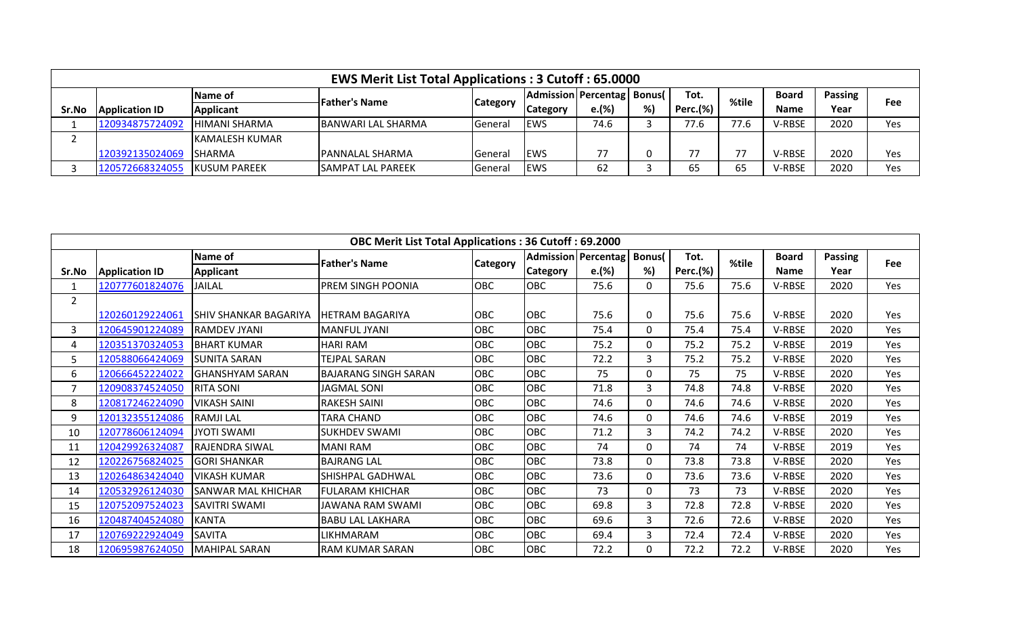|       |                       |                      | <b>EWS Merit List Total Applications: 3 Cutoff: 65.0000</b> |                 |                              |       |    |                 |       |               |                |     |
|-------|-----------------------|----------------------|-------------------------------------------------------------|-----------------|------------------------------|-------|----|-----------------|-------|---------------|----------------|-----|
|       |                       | Name of              |                                                             |                 | Admission Percentag   Bonus( |       |    | Tot.            | %tile | <b>Board</b>  | <b>Passing</b> | Fee |
| Sr.No | <b>Application ID</b> | <b>Applicant</b>     | <b>Father's Name</b>                                        | <b>Category</b> | <b>Category</b>              | e.(%) | %) | <b>Perc.(%)</b> |       | <b>Name</b>   | Year           |     |
|       | 120934875724092       | HIMANI SHARMA        | <b>BANWARI LAL SHARMA</b>                                   | General         | <b>IEWS</b>                  | 74.6  |    | 77.6            | 77.6  | <b>V-RBSE</b> | 2020           | Yes |
|       |                       | lKAMALESH KUMAR      |                                                             |                 |                              |       |    |                 |       |               |                |     |
|       | 120392135024069       | <b>ISHARMA</b>       | <b>IPANNALAL SHARMA</b>                                     | General         | <b>IEWS</b>                  | 77    |    | 77              |       | V-RBSE        | 2020           | Yes |
|       | 120572668324055       | <b>IKUSUM PAREEK</b> | <b>SAMPAT LAL PAREEK</b>                                    | General         | <b>EWS</b>                   | 62    |    | 65              | 65    | <b>V-RBSE</b> | 2020           | Yes |

|                |                       |                              | <b>OBC Merit List Total Applications: 36 Cutoff: 69.2000</b> |                 |                            |       |          |                 |       |              |         |            |
|----------------|-----------------------|------------------------------|--------------------------------------------------------------|-----------------|----------------------------|-------|----------|-----------------|-------|--------------|---------|------------|
|                |                       | Name of                      | <b>Father's Name</b>                                         |                 | <b>Admission Percentag</b> |       | Bonus(   | Tot.            | %tile | <b>Board</b> | Passing | <b>Fee</b> |
| Sr.No          | <b>Application ID</b> | <b>Applicant</b>             |                                                              | <b>Category</b> | <b>Category</b>            | e.(%) | %)       | <b>Perc.(%)</b> |       | <b>Name</b>  | Year    |            |
| 1              | 120777601824076       | <b>JAILAL</b>                | <b>PREM SINGH POONIA</b>                                     | <b>OBC</b>      | <b>OBC</b>                 | 75.6  | $\Omega$ | 75.6            | 75.6  | V-RBSE       | 2020    | Yes        |
| $\overline{2}$ |                       |                              |                                                              |                 |                            |       |          |                 |       |              |         |            |
|                | 120260129224061       | <b>SHIV SHANKAR BAGARIYA</b> | <b>IHETRAM BAGARIYA</b>                                      | <b>OBC</b>      | <b>OBC</b>                 | 75.6  | $\Omega$ | 75.6            | 75.6  | V-RBSE       | 2020    | Yes        |
| 3              | 120645901224089       | IRAMDEV JYANI                | <b>MANFUL JYANI</b>                                          | <b>OBC</b>      | <b>OBC</b>                 | 75.4  | 0        | 75.4            | 75.4  | V-RBSE       | 2020    | Yes        |
| 4              | 120351370324053       | <b>BHART KUMAR</b>           | <b>HARI RAM</b>                                              | OBC             | <b>OBC</b>                 | 75.2  | $\Omega$ | 75.2            | 75.2  | V-RBSE       | 2019    | Yes        |
| 5.             | 120588066424069       | ISUNITA SARAN                | TEJPAL SARAN                                                 | OBC             | OBC                        | 72.2  | 3        | 75.2            | 75.2  | V-RBSE       | 2020    | Yes        |
| 6              | 120666452224022       | lGHANSHYAM SARAN             | <b>BAJARANG SINGH SARAN</b>                                  | OBC             | <b>OBC</b>                 | 75    | $\Omega$ | 75              | 75    | V-RBSE       | 2020    | Yes        |
|                | 120908374524050       | <b>RITA SONI</b>             | <b>JAGMAL SONI</b>                                           | OBC             | OBC                        | 71.8  | 3        | 74.8            | 74.8  | V-RBSE       | 2020    | Yes        |
| 8              | 120817246224090       | <b>VIKASH SAINI</b>          | <b>RAKESH SAINI</b>                                          | <b>OBC</b>      | <b>OBC</b>                 | 74.6  | $\Omega$ | 74.6            | 74.6  | V-RBSE       | 2020    | Yes        |
| 9              | 120132355124086       | <b>RAMJILAL</b>              | <b>TARA CHAND</b>                                            | OBC             | OBC                        | 74.6  | 0        | 74.6            | 74.6  | V-RBSE       | 2019    | Yes        |
| 10             | 120778606124094       | <b>JYOTI SWAMI</b>           | <b>SUKHDEV SWAMI</b>                                         | <b>OBC</b>      | <b>OBC</b>                 | 71.2  | 3        | 74.2            | 74.2  | V-RBSE       | 2020    | Yes        |
| 11             | 120429926324087       | <b>RAJENDRA SIWAL</b>        | <b>MANI RAM</b>                                              | OBC             | OBC                        | 74    | 0        | 74              | 74    | V-RBSE       | 2019    | Yes        |
| 12             | 120226756824025       | <b>GORI SHANKAR</b>          | <b>BAJRANG LAL</b>                                           | OBC             | OBC                        | 73.8  | $\Omega$ | 73.8            | 73.8  | V-RBSE       | 2020    | Yes        |
| 13             | 120264863424040       | <b>VIKASH KUMAR</b>          | SHISHPAL GADHWAL                                             | <b>OBC</b>      | <b>OBC</b>                 | 73.6  | $\Omega$ | 73.6            | 73.6  | V-RBSE       | 2020    | Yes        |
| 14             | 120532926124030       | <b>SANWAR MAL KHICHAR</b>    | <b>FULARAM KHICHAR</b>                                       | <b>OBC</b>      | <b>OBC</b>                 | 73    | $\Omega$ | 73              | 73    | V-RBSE       | 2020    | Yes        |
| 15             | 120752097524023       | <b>SAVITRI SWAMI</b>         | JAWANA RAM SWAMI                                             | OBC             | OBC                        | 69.8  | 3        | 72.8            | 72.8  | V-RBSE       | 2020    | Yes        |
| 16             | 120487404524080       | <b>KANTA</b>                 | <b>BABU LAL LAKHARA</b>                                      | OBC             | OBC                        | 69.6  | 3        | 72.6            | 72.6  | V-RBSE       | 2020    | Yes        |
| 17             | 120769222924049       | <b>SAVITA</b>                | LIKHMARAM                                                    | <b>OBC</b>      | <b>OBC</b>                 | 69.4  | 3        | 72.4            | 72.4  | V-RBSE       | 2020    | Yes        |
| 18             | 120695987624050       | <b>MAHIPAL SARAN</b>         | <b>RAM KUMAR SARAN</b>                                       | OBC             | OBC                        | 72.2  | $\Omega$ | 72.2            | 72.2  | V-RBSE       | 2020    | Yes        |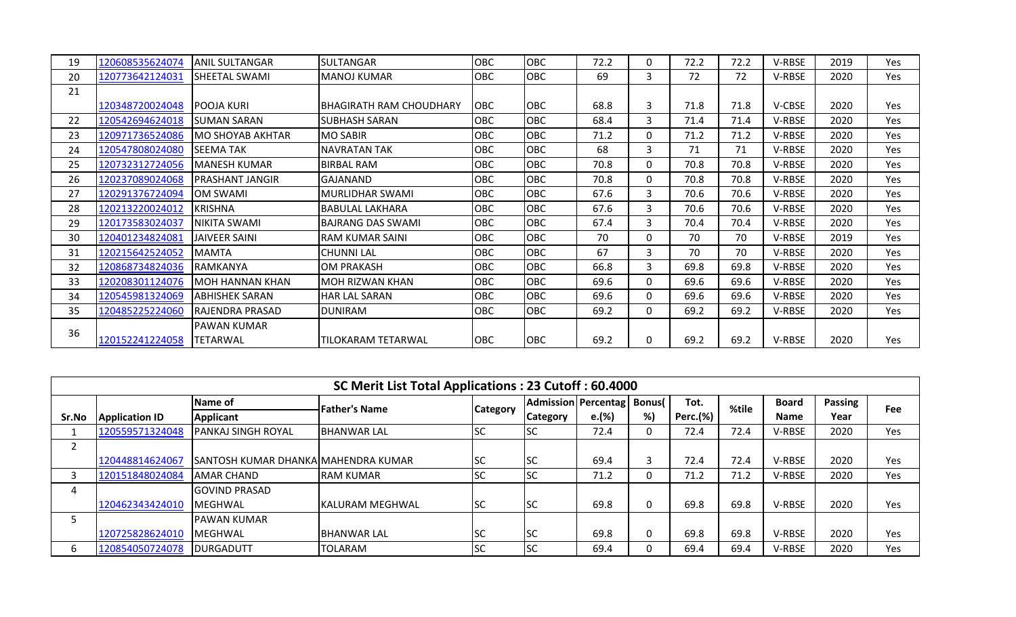| 19 | 120608535624074 | <b>ANIL SULTANGAR</b>   | <b>SULTANGAR</b>         | OBC        | OBC        | 72.2 | 0 | 72.2 | 72.2 | <b>V-RBSE</b> | 2019 | Yes.       |
|----|-----------------|-------------------------|--------------------------|------------|------------|------|---|------|------|---------------|------|------------|
| 20 | 120773642124031 | <b>SHEETAL SWAMI</b>    | MANOJ KUMAR              | <b>OBC</b> | <b>OBC</b> | 69   | 3 | 72   | 72   | V-RBSE        | 2020 | Yes        |
| 21 |                 |                         |                          |            |            |      |   |      |      |               |      |            |
|    | 120348720024048 | IPOOJA KURI             | IBHAGIRATH RAM CHOUDHARY | <b>OBC</b> | <b>OBC</b> | 68.8 | 3 | 71.8 | 71.8 | V-CBSE        | 2020 | Yes        |
| 22 | 120542694624018 | ISUMAN SARAN            | <b>SUBHASH SARAN</b>     | OBC        | OBC        | 68.4 | 3 | 71.4 | 71.4 | V-RBSE        | 2020 | Yes        |
| 23 | 120971736524086 | <b>MO SHOYAB AKHTAR</b> | <b>MO SABIR</b>          | OBC        | OBC        | 71.2 | 0 | 71.2 | 71.2 | <b>V-RBSE</b> | 2020 | Yes        |
| 24 | 120547808024080 | <b>SEEMA TAK</b>        | <b>NAVRATAN TAK</b>      | OBC        | <b>OBC</b> | 68   | 3 | 71   | 71   | V-RBSE        | 2020 | Yes        |
| 25 | 120732312724056 | <b>MANESH KUMAR</b>     | <b>BIRBAL RAM</b>        | OBC        | <b>OBC</b> | 70.8 | 0 | 70.8 | 70.8 | <b>V-RBSE</b> | 2020 | Yes        |
| 26 | 120237089024068 | <b>PRASHANT JANGIR</b>  | <b>GAJANAND</b>          | <b>OBC</b> | <b>OBC</b> | 70.8 | 0 | 70.8 | 70.8 | V-RBSE        | 2020 | Yes        |
| 27 | 120291376724094 | OM SWAMI                | MURLIDHAR SWAMI          | OBC        | <b>OBC</b> | 67.6 | 3 | 70.6 | 70.6 | V-RBSE        | 2020 | Yes        |
| 28 | 120213220024012 | <b>KRISHNA</b>          | <b>BABULAL LAKHARA</b>   | <b>OBC</b> | <b>OBC</b> | 67.6 | 3 | 70.6 | 70.6 | V-RBSE        | 2020 | Yes        |
| 29 | 120173583024037 | <b>NIKITA SWAMI</b>     | <b>BAJRANG DAS SWAMI</b> | OBC        | <b>OBC</b> | 67.4 | 3 | 70.4 | 70.4 | V-RBSE        | 2020 | Yes        |
| 30 | 120401234824081 | JAIVEER SAINI           | <b>RAM KUMAR SAINI</b>   | OBC        | OBC        | 70   | 0 | 70   | 70   | <b>V-RBSE</b> | 2019 | Yes        |
| 31 | 120215642524052 | <b>MAMTA</b>            | <b>CHUNNI LAL</b>        | <b>OBC</b> | <b>OBC</b> | 67   | 3 | 70   | 70   | V-RBSE        | 2020 | <b>Yes</b> |
| 32 | 120868734824036 | RAMKANYA                | <b>OM PRAKASH</b>        | OBC        | <b>OBC</b> | 66.8 | 3 | 69.8 | 69.8 | <b>V-RBSE</b> | 2020 | Yes        |
| 33 | 120208301124076 | <b>MOH HANNAN KHAN</b>  | <b>MOH RIZWAN KHAN</b>   | <b>OBC</b> | <b>OBC</b> | 69.6 | 0 | 69.6 | 69.6 | V-RBSE        | 2020 | Yes        |
| 34 | 120545981324069 | <b>ABHISHEK SARAN</b>   | <b>HAR LAL SARAN</b>     | OBC        | <b>OBC</b> | 69.6 | 0 | 69.6 | 69.6 | V-RBSE        | 2020 | Yes        |
| 35 | 120485225224060 | IRAJENDRA PRASAD        | <b>DUNIRAM</b>           | <b>OBC</b> | <b>OBC</b> | 69.2 | 0 | 69.2 | 69.2 | V-RBSE        | 2020 | Yes        |
| 36 |                 | <b>PAWAN KUMAR</b>      |                          |            |            |      |   |      |      |               |      |            |
|    | 120152241224058 | TETARWAL                | TILOKARAM TETARWAL       | <b>OBC</b> | OBC        | 69.2 | 0 | 69.2 | 69.2 | <b>V-RBSE</b> | 2020 | Yes        |

|              |                       |                                      | SC Merit List Total Applications: 23 Cutoff: 60.4000 |                 |                              |       |    |                 |       |              |         |     |
|--------------|-----------------------|--------------------------------------|------------------------------------------------------|-----------------|------------------------------|-------|----|-----------------|-------|--------------|---------|-----|
|              |                       | Name of                              | <b>Father's Name</b>                                 |                 | Admission Percentag   Bonus( |       |    | Tot.            | %tile | <b>Board</b> | Passing | Fee |
| Sr.No        | <b>Application ID</b> | Applicant                            |                                                      | <b>Category</b> | <b>Category</b>              | e.(%) | %) | <b>Perc.(%)</b> |       | <b>Name</b>  | Year    |     |
|              | 120559571324048       | <b>PANKAJ SINGH ROYAL</b>            | <b>BHANWAR LAL</b>                                   | <b>SC</b>       | <b>SC</b>                    | 72.4  | 0  | 72.4            | 72.4  | V-RBSE       | 2020    | Yes |
| ∠            |                       |                                      |                                                      |                 |                              |       |    |                 |       |              |         |     |
|              | 120448814624067       | ISANTOSH KUMAR DHANKAIMAHENDRA KUMAR |                                                      | <b>SC</b>       | <b>SC</b>                    | 69.4  |    | 72.4            | 72.4  | V-RBSE       | 2020    | Yes |
|              | 120151848024084       | <b>JAMAR CHAND</b>                   | <b>RAM KUMAR</b>                                     | <b>SC</b>       | <b>SC</b>                    | 71.2  | 0  | 71.2            | 71.2  | V-RBSE       | 2020    | Yes |
| 4            |                       | <b>GOVIND PRASAD</b>                 |                                                      |                 |                              |       |    |                 |       |              |         |     |
|              | 120462343424010       | <b>IMEGHWAL</b>                      | <b>IKALURAM MEGHWAL</b>                              | <b>SC</b>       | <b>SC</b>                    | 69.8  | 0  | 69.8            | 69.8  | V-RBSE       | 2020    | Yes |
|              |                       | <b>PAWAN KUMAR</b>                   |                                                      |                 |                              |       |    |                 |       |              |         |     |
|              | 120725828624010       | <b>IMEGHWAL</b>                      | <b>IBHANWAR LAL</b>                                  | lsc             | <b>SC</b>                    | 69.8  | 0  | 69.8            | 69.8  | V-RBSE       | 2020    | Yes |
| <sub>b</sub> | 120854050724078       | IDURGADUTT                           | <b>TOLARAM</b>                                       | <b>SC</b>       | <b>SC</b>                    | 69.4  |    | 69.4            | 69.4  | V-RBSE       | 2020    | Yes |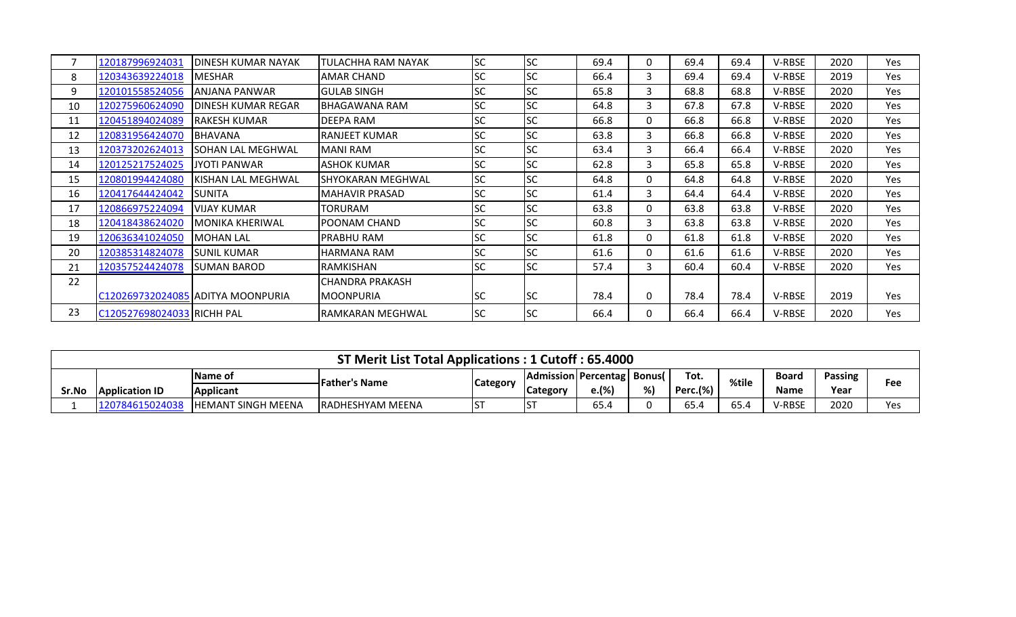|    | 120187996924031            | DINESH KUMAR NAYAK                | TULACHHA RAM NAYAK     | <b>SC</b> | <b>SC</b> | 69.4 | 0 | 69.4 | 69.4 | V-RBSE | 2020 | Yes |
|----|----------------------------|-----------------------------------|------------------------|-----------|-----------|------|---|------|------|--------|------|-----|
| 8  | 120343639224018            | <b>MESHAR</b>                     | AMAR CHAND             | <b>SC</b> | <b>SC</b> | 66.4 | 3 | 69.4 | 69.4 | V-RBSE | 2019 | Yes |
| 9  | 120101558524056            | ANJANA PANWAR                     | <b>GULAB SINGH</b>     | <b>SC</b> | <b>SC</b> | 65.8 | 3 | 68.8 | 68.8 | V-RBSE | 2020 | Yes |
| 10 | 120275960624090            | DINESH KUMAR REGAR                | BHAGAWANA RAM          | <b>SC</b> | <b>SC</b> | 64.8 | 3 | 67.8 | 67.8 | V-RBSE | 2020 | Yes |
| 11 | 120451894024089            | <b>RAKESH KUMAR</b>               | DEEPA RAM              | <b>SC</b> | <b>SC</b> | 66.8 | 0 | 66.8 | 66.8 | V-RBSE | 2020 | Yes |
| 12 | 120831956424070            | <b>BHAVANA</b>                    | <b>RANJEET KUMAR</b>   | <b>SC</b> | <b>SC</b> | 63.8 | 3 | 66.8 | 66.8 | V-RBSE | 2020 | Yes |
| 13 | 120373202624013            | <b>SOHAN LAL MEGHWAL</b>          | MANI RAM               | <b>SC</b> | <b>SC</b> | 63.4 | 3 | 66.4 | 66.4 | V-RBSE | 2020 | Yes |
| 14 | 120125217524025            | <b>JYOTI PANWAR</b>               | ASHOK KUMAR            | <b>SC</b> | <b>SC</b> | 62.8 | 3 | 65.8 | 65.8 | V-RBSE | 2020 | Yes |
| 15 | 120801994424080            | KISHAN LAL MEGHWAL                | SHYOKARAN MEGHWAL      | <b>SC</b> | <b>SC</b> | 64.8 | 0 | 64.8 | 64.8 | V-RBSE | 2020 | Yes |
| 16 | 120417644424042            | <b>SUNITA</b>                     | MAHAVIR PRASAD         | <b>SC</b> | <b>SC</b> | 61.4 | 3 | 64.4 | 64.4 | V-RBSE | 2020 | Yes |
| 17 | 120866975224094            | VIJAY KUMAR                       | TORURAM                | <b>SC</b> | <b>SC</b> | 63.8 | 0 | 63.8 | 63.8 | V-RBSE | 2020 | Yes |
| 18 | 120418438624020            | IMONIKA KHERIWAL                  | POONAM CHAND           | <b>SC</b> | <b>SC</b> | 60.8 | 3 | 63.8 | 63.8 | V-RBSE | 2020 | Yes |
| 19 | 120636341024050            | <b>MOHAN LAL</b>                  | PRABHU RAM             | <b>SC</b> | <b>SC</b> | 61.8 | 0 | 61.8 | 61.8 | V-RBSE | 2020 | Yes |
| 20 | 120385314824078            | ISUNIL KUMAR                      | HARMANA RAM            | <b>SC</b> | <b>SC</b> | 61.6 | 0 | 61.6 | 61.6 | V-RBSE | 2020 | Yes |
| 21 | 120357524424078            | ISUMAN BAROD                      | RAMKISHAN              | <b>SC</b> | <b>SC</b> | 57.4 | 3 | 60.4 | 60.4 | V-RBSE | 2020 | Yes |
| 22 |                            |                                   | <b>CHANDRA PRAKASH</b> |           |           |      |   |      |      |        |      |     |
|    |                            | C120269732024085 ADITYA MOONPURIA | <b>MOONPURIA</b>       | <b>SC</b> | <b>SC</b> | 78.4 | 0 | 78.4 | 78.4 | V-RBSE | 2019 | Yes |
| 23 | C120527698024033 RICHH PAL |                                   | RAMKARAN MEGHWAL       | <b>SC</b> | <b>SC</b> | 66.4 | 0 | 66.4 | 66.4 | V-RBSE | 2020 | Yes |

|       |                       |                           | ST Merit List Total Applications: 1 Cutoff: 65.4000 |                                                                                     |                 |       |    |          |      |               |      |     |  |
|-------|-----------------------|---------------------------|-----------------------------------------------------|-------------------------------------------------------------------------------------|-----------------|-------|----|----------|------|---------------|------|-----|--|
|       |                       | <b>Name of</b>            |                                                     | Tot.<br>Passing<br>  Admission   Percentag   Bonus(  <br>Board<br>%tile<br>Category |                 |       |    |          |      |               |      |     |  |
| Sr.No | <b>Application ID</b> | <b>Applicant</b>          | <b>Father's Name</b>                                |                                                                                     | <b>Category</b> | e.(%) | %) | Perc.(%) |      | Name          | Year | Fee |  |
|       | 120784615024038       | <b>HEMANT SINGH MEENA</b> | <b>RADHESHYAM MEENA</b>                             |                                                                                     | IS <sub>1</sub> | 65.4  |    | 65.4     | 65.4 | <b>V-RBSE</b> | 2020 | Yes |  |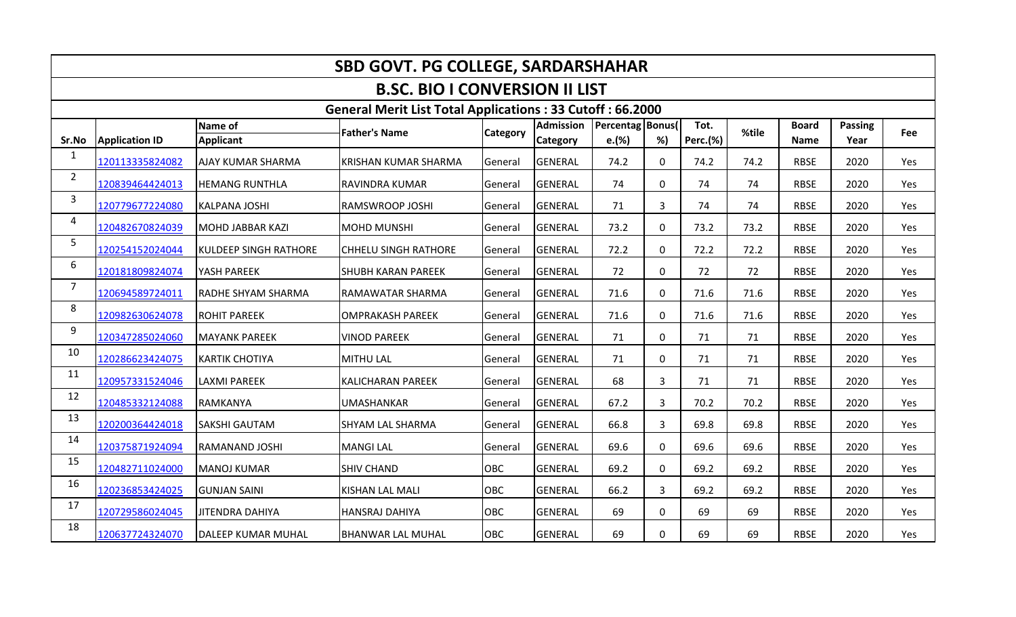|                         | <b>SBD GOVT. PG COLLEGE, SARDARSHAHAR</b> |                              |                                                                  |                 |                                     |                           |                |                  |       |                             |                 |            |  |  |
|-------------------------|-------------------------------------------|------------------------------|------------------------------------------------------------------|-----------------|-------------------------------------|---------------------------|----------------|------------------|-------|-----------------------------|-----------------|------------|--|--|
|                         |                                           |                              | <b>B.SC. BIO I CONVERSION II LIST</b>                            |                 |                                     |                           |                |                  |       |                             |                 |            |  |  |
|                         |                                           |                              | <b>General Merit List Total Applications: 33 Cutoff: 66.2000</b> |                 |                                     |                           |                |                  |       |                             |                 |            |  |  |
| Sr.No                   | <b>Application ID</b>                     | Name of<br><b>Applicant</b>  | <b>Father's Name</b>                                             | <b>Category</b> | <b>Admission</b><br><b>Category</b> | Percentag Bonus(<br>e.(%) | %)             | Tot.<br>Perc.(%) | %tile | <b>Board</b><br><b>Name</b> | Passing<br>Year | <b>Fee</b> |  |  |
| $\mathbf{1}$            | 120113335824082                           | <b>AJAY KUMAR SHARMA</b>     | <b>KRISHAN KUMAR SHARMA</b>                                      | General         | <b>GENERAL</b>                      | 74.2                      | $\mathbf 0$    | 74.2             | 74.2  | <b>RBSE</b>                 | 2020            | Yes        |  |  |
| $\overline{2}$          | 120839464424013                           | <b>HEMANG RUNTHLA</b>        | <b>RAVINDRA KUMAR</b>                                            | General         | <b>GENERAL</b>                      | 74                        | $\mathbf 0$    | 74               | 74    | <b>RBSE</b>                 | 2020            | Yes        |  |  |
| $\overline{\mathbf{3}}$ | 120779677224080                           | <b>KALPANA JOSHI</b>         | RAMSWROOP JOSHI                                                  | General         | <b>GENERAL</b>                      | 71                        | 3              | 74               | 74    | <b>RBSE</b>                 | 2020            | Yes        |  |  |
| 4                       | 120482670824039                           | MOHD JABBAR KAZI             | <b>MOHD MUNSHI</b>                                               | General         | <b>GENERAL</b>                      | 73.2                      | 0              | 73.2             | 73.2  | <b>RBSE</b>                 | 2020            | Yes        |  |  |
| 5                       | 120254152024044                           | <b>KULDEEP SINGH RATHORE</b> | <b>CHHELU SINGH RATHORE</b>                                      | General         | <b>GENERAL</b>                      | 72.2                      | $\mathbf 0$    | 72.2             | 72.2  | <b>RBSE</b>                 | 2020            | Yes        |  |  |
| 6                       | 120181809824074                           | YASH PAREEK                  | <b>SHUBH KARAN PAREEK</b>                                        | General         | <b>GENERAL</b>                      | 72                        | $\Omega$       | 72               | 72    | <b>RBSE</b>                 | 2020            | Yes        |  |  |
| $\overline{7}$          | 120694589724011                           | <b>RADHE SHYAM SHARMA</b>    | RAMAWATAR SHARMA                                                 | General         | <b>GENERAL</b>                      | 71.6                      | $\mathbf 0$    | 71.6             | 71.6  | <b>RBSE</b>                 | 2020            | Yes        |  |  |
| 8                       | 120982630624078                           | <b>ROHIT PAREEK</b>          | <b>OMPRAKASH PAREEK</b>                                          | General         | <b>GENERAL</b>                      | 71.6                      | $\mathbf{0}$   | 71.6             | 71.6  | <b>RBSE</b>                 | 2020            | Yes        |  |  |
| 9                       | 120347285024060                           | <b>MAYANK PAREEK</b>         | <b>VINOD PAREEK</b>                                              | General         | <b>GENERAL</b>                      | 71                        | $\Omega$       | 71               | 71    | <b>RBSE</b>                 | 2020            | Yes        |  |  |
| 10                      | 120286623424075                           | <b>KARTIK CHOTIYA</b>        | <b>MITHU LAL</b>                                                 | General         | GENERAL                             | 71                        | $\mathbf 0$    | 71               | 71    | <b>RBSE</b>                 | 2020            | Yes        |  |  |
| 11                      | 120957331524046                           | <b>LAXMI PAREEK</b>          | <b>KALICHARAN PAREEK</b>                                         | General         | <b>GENERAL</b>                      | 68                        | 3              | 71               | 71    | <b>RBSE</b>                 | 2020            | Yes        |  |  |
| 12                      | 120485332124088                           | RAMKANYA                     | <b>UMASHANKAR</b>                                                | General         | <b>GENERAL</b>                      | 67.2                      | 3              | 70.2             | 70.2  | <b>RBSE</b>                 | 2020            | Yes        |  |  |
| 13                      | 120200364424018                           | <b>SAKSHI GAUTAM</b>         | <b>SHYAM LAL SHARMA</b>                                          | General         | <b>GENERAL</b>                      | 66.8                      | 3              | 69.8             | 69.8  | <b>RBSE</b>                 | 2020            | Yes        |  |  |
| 14                      | 120375871924094                           | <b>RAMANAND JOSHI</b>        | <b>MANGI LAL</b>                                                 | General         | <b>GENERAL</b>                      | 69.6                      | $\mathbf 0$    | 69.6             | 69.6  | <b>RBSE</b>                 | 2020            | Yes        |  |  |
| 15                      | 120482711024000                           | <b>MANOJ KUMAR</b>           | <b>SHIV CHAND</b>                                                | <b>OBC</b>      | <b>GENERAL</b>                      | 69.2                      | $\Omega$       | 69.2             | 69.2  | <b>RBSE</b>                 | 2020            | Yes        |  |  |
| 16                      | 120236853424025                           | <b>GUNJAN SAINI</b>          | <b>KISHAN LAL MALI</b>                                           | OBC             | GENERAL                             | 66.2                      | $\overline{3}$ | 69.2             | 69.2  | <b>RBSE</b>                 | 2020            | Yes        |  |  |
| 17                      | 120729586024045                           | <b>JITENDRA DAHIYA</b>       | HANSRAJ DAHIYA                                                   | OBC             | <b>GENERAL</b>                      | 69                        | $\mathbf 0$    | 69               | 69    | <b>RBSE</b>                 | 2020            | Yes        |  |  |
| 18                      | 120637724324070                           | DALEEP KUMAR MUHAL           | <b>BHANWAR LAL MUHAL</b>                                         | OBC             | <b>GENERAL</b>                      | 69                        | $\Omega$       | 69               | 69    | <b>RBSE</b>                 | 2020            | Yes        |  |  |